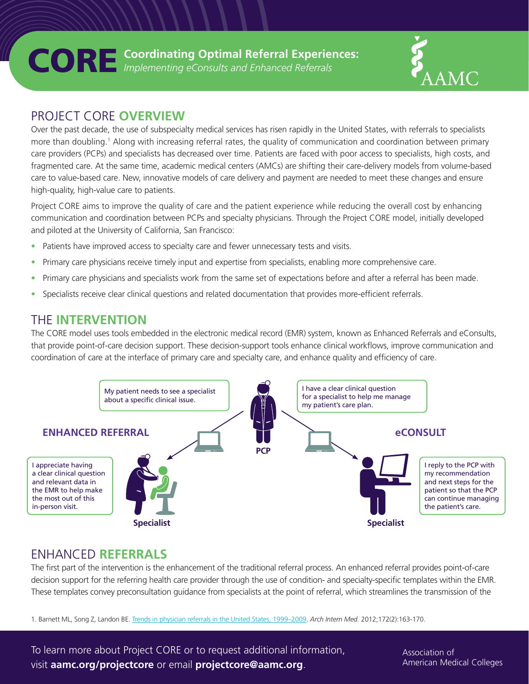



### PROJECT CORE **OVERVIEW**

Over the past decade, the use of subspecialty medical services has risen rapidly in the United States, with referrals to specialists more than doubling.<sup>1</sup> Along with increasing referral rates, the quality of communication and coordination between primary care providers (PCPs) and specialists has decreased over time. Patients are faced with poor access to specialists, high costs, and fragmented care. At the same time, academic medical centers (AMCs) are shifting their care-delivery models from volume-based care to value-based care. New, innovative models of care delivery and payment are needed to meet these changes and ensure high-quality, high-value care to patients.

Project CORE aims to improve the quality of care and the patient experience while reducing the overall cost by enhancing communication and coordination between PCPs and specialty physicians. Through the Project CORE model, initially developed and piloted at the University of California, San Francisco:

- Patients have improved access to specialty care and fewer unnecessary tests and visits.
- Primary care physicians receive timely input and expertise from specialists, enabling more comprehensive care.
- Primary care physicians and specialists work from the same set of expectations before and after a referral has been made.
- Specialists receive clear clinical questions and related documentation that provides more-efficient referrals.

### THE **INTERVENTION**

The CORE model uses tools embedded in the electronic medical record (EMR) system, known as Enhanced Referrals and eConsults, that provide point-of-care decision support. These decision-support tools enhance clinical workflows, improve communication and coordination of care at the interface of primary care and specialty care, and enhance quality and efficiency of care.



# ENHANCED **REFERRALS**

The first part of the intervention is the enhancement of the traditional referral process. An enhanced referral provides point-of-care decision support for the referring health care provider through the use of condition- and specialty-specific templates within the EMR. These templates convey preconsultation guidance from specialists at the point of referral, which streamlines the transmission of the

1. Barnett ML, Song Z, Landon BE. [Trends in physician referrals in the United States, 1999–2009.](http://jamanetwork.com/journals/jamainternalmedicine/fullarticle/1108675) *Arch Intern Med.* 2012;172(2):163-170.

To learn more about Project CORE or to request additional information, visit **aamc.org/projectcore** or email **projectcore@aamc.org**.

Association of American Medical Colleges